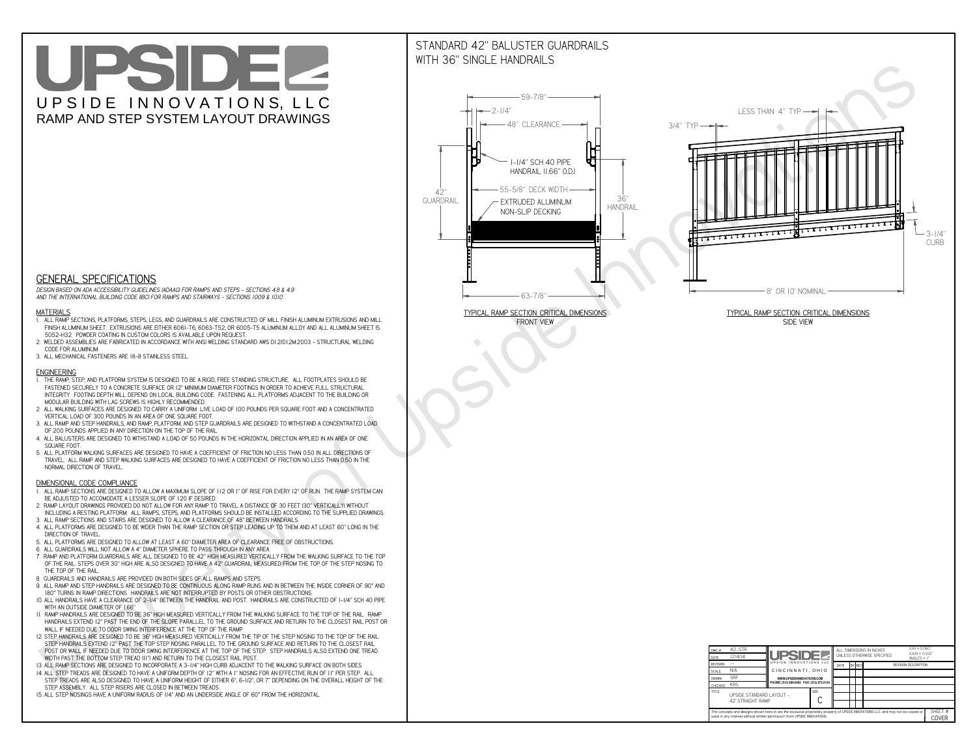# UPSIDEL UPSIDE INNOVATIONS, LLC RAMP AND STEP SYSTEM LAYOUT DRAWINGS

## STANDARD 42" BALUSTER GUARDRAILSWITH 36" SINGLE HANDRAILS

**FRONT VIEW**





**GENERAL SPECIFICATIONS**

 *DESIGN BASED ON ADA ACCESSIBILITY GUIDELINES (ADAAG) FOR RAMPS AND STEPS - SECTIONS 4.8 & 4.9AND THE INTERNATIONAL BUILDING CODE (IBC) FOR RAMPS AND STAIRWAYS - SECTIONS 1009 & 1010*

#### **MATERIALS**

- **1. ALL RAMP SECTIONS, PLATFORMS, STEPS, LEGS, AND GUARDRAILS ARE CONSTRUCTED OF MILL FINISH ALUMINUM EXTRUSIONS AND MILL FINISH ALUMINUM SHEET. EXTRUSIONS ARE EITHER 6061-T6, 6063-T52, OR 6005-T5 ALUMINUM ALLOY AND ALL ALUMINUM SHEET IS 5052-H32. POWDER COATING IN CUSTOM COLORS IS AVAILABLE UPON REQUEST.**
- **2. WELDED ASSEMBLIES ARE FABRICATED IN ACCORDANCE WITH ANSI WELDING STANDARD AWS D1.2/D1.2M:2003 STRUCTURAL WELDING CODE FOR ALUMINUM.**
- **3. ALL MECHANICAL FASTENERS ARE 18-8 STAINLESS STEEL.**

#### **ENGINEERING**

- **1. THE RAMP, STEP, AND PLATFORM SYSTEM IS DESIGNED TO BE A RIGID, FREE STANDING STRUCTURE. ALL FOOTPLATES SHOULD BE FASTENED SECURELY TO A CONCRETE SURFACE OR 12" MINIMUM DIAMETER FOOTINGS IN ORDER TO ACHIEVE FULL STRUCTURAL INTEGRITY. FOOTING DEPTH WILL DEPEND ON LOCAL BUILDING CODE. FASTENING ALL PLATFORMS ADJACENT TO THE BUILDING OR MODULAR BUILDING WITH LAG SCREWS IS HIGHLY RECOMMENDED.**
- **2. ALL WALKING SURFACES ARE DESIGNED TO CARRY A UNIFORM LIVE LOAD OF 100 POUNDS PER SQUARE FOOT AND A CONCENTRATED VERTICAL LOAD OF 300 POUNDS IN AN AREA OF ONE SQUARE FOOT.**
- **3. ALL RAMP AND STEP HANDRAILS, AND RAMP, PLATFORM, AND STEP GUARDRAILS ARE DESIGNED TO WITHSTAND A CONCENTRATED LOAD OF 200 POUNDS APPLIED IN ANY DIRECTION ON THE TOP OF THE RAIL.**
- **4. ALL BALUSTERS ARE DESIGNED TO WITHSTAND A LOAD OF 50 POUNDS IN THE HORIZONTAL DIRECTION APPLIED IN AN AREA OF ONE SQUARE FOOT.**
- **5. ALL PLATFORM WALKING SURFACES ARE DESIGNED TO HAVE A COEFFICIENT OF FRICTION NO LESS THAN 0.50 IN ALL DIRECTIONS OF TRAVEL. ALL RAMP AND STEP WALKING SURFACES ARE DESIGNED TO HAVE A COEFFICIENT OF FRICTION NO LESS THAN 0.50 IN THE NORMAL DIRECTION OF TRAVEL.**

| $DWG.$ #<br>DATE                                                                                                                                                                                            | 42_STR<br>12/4/14 | <b>UPSIDEZ</b>                            |             | ALL DIMENSIONS IN INCHES<br>UNLESS OTHERWISE SPECIFIED |  | XXX ± 0.060"<br>$XXX \pm 0.015$ "<br>ANGLES $\pm$ 1° |  |                             |  |
|-------------------------------------------------------------------------------------------------------------------------------------------------------------------------------------------------------------|-------------------|-------------------------------------------|-------------|--------------------------------------------------------|--|------------------------------------------------------|--|-----------------------------|--|
| <b>REVISION</b>                                                                                                                                                                                             |                   | UPSIDE INNOVATIONS LLC                    |             | DATE                                                   |  | BY REV                                               |  | <b>REVISION DESCRIPTION</b> |  |
| <b>SCALE</b>                                                                                                                                                                                                | N/A               | CINCINNATI, OHIO                          |             |                                                        |  |                                                      |  |                             |  |
| <b>DRAWN</b>                                                                                                                                                                                                | <b>SRF</b>        | WWW.UPSIDEINNOVATIONS.COM                 |             |                                                        |  |                                                      |  |                             |  |
| CHECKED                                                                                                                                                                                                     | <b>KRS</b>        | PHONE: (513) 889-2492 FAX: (513) 672-2124 |             |                                                        |  |                                                      |  |                             |  |
| <b>TITLE</b><br>UPSIDE STANDARD LAYOUT -<br>42' STRAIGHT RAMP                                                                                                                                               |                   |                                           | <b>SIZE</b> |                                                        |  |                                                      |  |                             |  |
| The concepts and designs shown here-in are the exclusive proprietary property of UPSIDE INNOVATIONS LLC. and may not be copied or<br>used in any manner without written permission from UPSIDE INNOVATIONS. |                   |                                           |             |                                                        |  |                                                      |  | SHEET #<br><b>COVER</b>     |  |

### **DIMENSIONAL CODE COMPLIANCE**

- **1. ALL RAMP SECTIONS ARE DESIGNED TO ALLOW A MAXIMUM SLOPE OF 1:12 OR 1" OF RISE FOR EVERY 12" OF RUN. THE RAMP SYSTEM CAN BE ADJUSTED TO ACCOMODATE A LESSER SLOPE OF 1:20 IF DESIRED.**
- **2. RAMP LAYOUT DRAWINGS PROVIDED DO NOT ALLOW FOR ANY RAMP TO TRAVEL A DISTANCE OF 30 FEET (30" VERTICALLY) WITHOUT INCLUDING A RESTING PLATFORM. ALL RAMPS, STEPS, AND PLATFORMS SHOULD BE INSTALLED ACCORDING TO THE SUPPLIED DRAWINGS.**
- **3. ALL RAMP SECTIONS AND STAIRS ARE DESIGNED TO ALLOW A CLEARANCE OF 48" BETWEEN HANDRAILS.**
- **4. ALL PLATFORMS ARE DESIGNED TO BE WIDER THAN THE RAMP SECTION OR STEP LEADING UP TO THEM AND AT LEAST 60" LONG IN THE DIRECTION OF TRAVEL.**
- **5. ALL PLATFORMS ARE DESIGNED TO ALLOW AT LEAST A 60" DIAMETER AREA OF CLEARANCE FREE OF OBSTRUCTIONS.**
- **6. ALL GUARDRAILS WILL NOT ALLOW A 4" DIAMETER SPHERE TO PASS THROUGH IN ANY AREA.**
- **7. RAMP AND PLATFORM GUARDRAILS ARE ALL DESIGNED TO BE 42" HIGH MEASURED VERTICALLY FROM THE WALKING SURFACE TO THE TOP OF THE RAIL. STEPS OVER 30" HIGH ARE ALSO DESIGNED TO HAVE A 42" GUARDRAIL MEASURED FROM THE TOP OF THE STEP NOSING TO THE TOP OF THE RAIL.**
- **8. GUARDRAILS AND HANDRAILS ARE PROVIDED ON BOTH SIDES OF ALL RAMPS AND STEPS.**
- **9. ALL RAMP AND STEP HANDRAILS ARE DESIGNED TO BE CONTINUOUS ALONG RAMP RUNS AND IN BETWEEN THE INSIDE CORNER OF 90° AND 180° TURNS IN RAMP DIRECTIONS. HANDRAILS ARE NOT INTERRUPTED BY POSTS OR OTHER OBSTRUCTIONS.**
- **10. ALL HANDRAILS HAVE A CLEARANCE OF 2-1/4" BETWEEN THE HANDRAIL AND POST. HANDRAILS ARE CONSTRUCTED OF 1-1/4" SCH 40 PIPE WITH AN OUTSIDE DIAMETER OF 1.66"**
- **11. RAMP HANDRAILS ARE DESIGNED TO BE 36" HIGH MEASURED VERTICALLY FROM THE WALKING SURFACE TO THE TOP OF THE RAIL. RAMP HANDRAILS EXTEND 12" PAST THE END OF THE SLOPE PARALLEL TO THE GROUND SURFACE AND RETURN TO THE CLOSEST RAIL POST OR WALL IF NEEDED DUE TO DOOR SWING INTERFERENCE AT THE TOP OF THE RAMP.**
- **12. STEP HANDRAILS ARE DESIGNED TO BE 36" HIGH MEASURED VERTICALLY FROM THE TIP OF THE STEP NOSING TO THE TOP OF THE RAIL. STEP HANDRAILS EXTEND 12" PAST THE TOP STEP NOSING PARALLEL TO THE GROUND SURFACE AND RETURN TO THE CLOSEST RAIL POST OR WALL IF NEEDED DUE TO DOOR SWING INTERFERENCE AT THE TOP OF THE STEP. STEP HANDRAILS ALSO EXTEND ONE TREAD**
- **WIDTH PAST THE BOTTOM STEP TREAD (11") AND RETURN TO THE CLOSEST RAIL POST.**
- **13. ALL RAMP SECTIONS ARE DESIGNED TO INCORPORATE A 3-1/4" HIGH CURB ADJACENT TO THE WALKING SURFACE ON BOTH SIDES.**
- **14. ALL STEP TREADS ARE DESIGNED TO HAVE A UNIFORM DEPTH OF 12" WITH A 1" NOSING FOR AN EFFECTIVE RUN OF 11" PER STEP. ALL STEP TREADS ARE ALSO DESIGNED TO HAVE A UNIFORM HEIGHT OF EITHER 6", 6-1/2", OR 7" DEPENDING ON THE OVERALL HEIGHT OF THE STEP ASSEMBLY. ALL STEP RISERS ARE CLOSED IN BETWEEN TREADS.**
- **15. ALL STEP NOSINGS HAVE A UNIFORM RADIUS OF 1/4" AND AN UNDERSIDE ANGLE OF 60° FROM THE HORIZONTAL.**